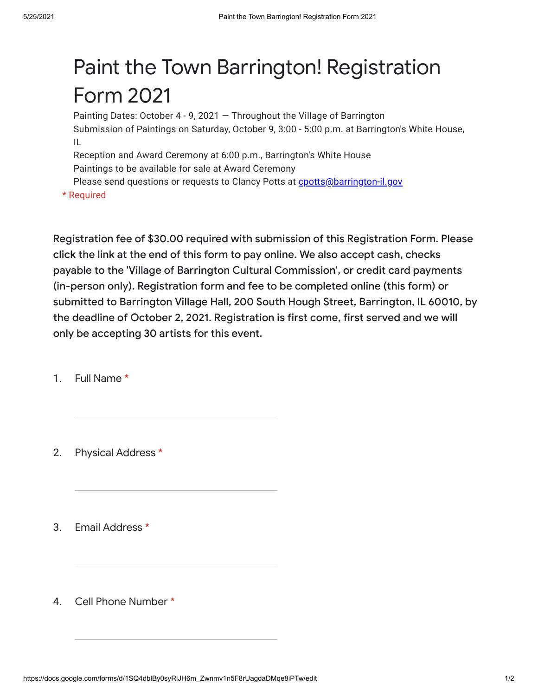## Paint the Town Barrington! Registration Form 2021

Painting Dates: October 4 - 9, 2021 — Throughout the Village of Barrington Submission of Paintings on Saturday, October 9, 3:00 - 5:00 p.m. at Barrington's White House, IL

Reception and Award Ceremony at 6:00 p.m., Barrington's White House Paintings to be available for sale at Award Ceremony

Please send questions or requests to Clancy Potts at [cpotts@barrington-il.gov](mailto:cpotts@barrington-il.gov)

\* Required

Registration fee of \$30.00 required with submission of this Registration Form. Please click the link at the end of this form to pay online. We also accept cash, checks payable to the 'Village of Barrington Cultural Commission', or credit card payments (in-person only). Registration form and fee to be completed online (this form) or submitted to Barrington Village Hall, 200 South Hough Street, Barrington, IL 60010, by the deadline of October 2, 2021. Registration is first come, first served and we will only be accepting 30 artists for this event.

1. Full Name \*

2. Physical Address \*

3. Email Address \*

4. Cell Phone Number \*